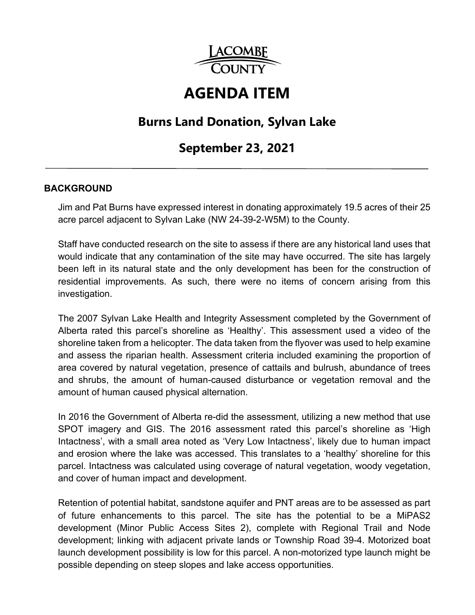

# **AGENDA ITEM**

# **Burns Land Donation, Sylvan Lake**

# **September 23, 2021**

#### **BACKGROUND**

Jim and Pat Burns have expressed interest in donating approximately 19.5 acres of their 25 acre parcel adjacent to Sylvan Lake (NW 24-39-2-W5M) to the County.

Staff have conducted research on the site to assess if there are any historical land uses that would indicate that any contamination of the site may have occurred. The site has largely been left in its natural state and the only development has been for the construction of residential improvements. As such, there were no items of concern arising from this investigation.

The 2007 Sylvan Lake Health and Integrity Assessment completed by the Government of Alberta rated this parcel's shoreline as 'Healthy'. This assessment used a video of the shoreline taken from a helicopter. The data taken from the flyover was used to help examine and assess the riparian health. Assessment criteria included examining the proportion of area covered by natural vegetation, presence of cattails and bulrush, abundance of trees and shrubs, the amount of human-caused disturbance or vegetation removal and the amount of human caused physical alternation.

In 2016 the Government of Alberta re-did the assessment, utilizing a new method that use SPOT imagery and GIS. The 2016 assessment rated this parcel's shoreline as 'High Intactness', with a small area noted as 'Very Low Intactness', likely due to human impact and erosion where the lake was accessed. This translates to a 'healthy' shoreline for this parcel. Intactness was calculated using coverage of natural vegetation, woody vegetation, and cover of human impact and development.

Retention of potential habitat, sandstone aquifer and PNT areas are to be assessed as part of future enhancements to this parcel. The site has the potential to be a MiPAS2 development (Minor Public Access Sites 2), complete with Regional Trail and Node development; linking with adjacent private lands or Township Road 39-4. Motorized boat launch development possibility is low for this parcel. A non-motorized type launch might be possible depending on steep slopes and lake access opportunities.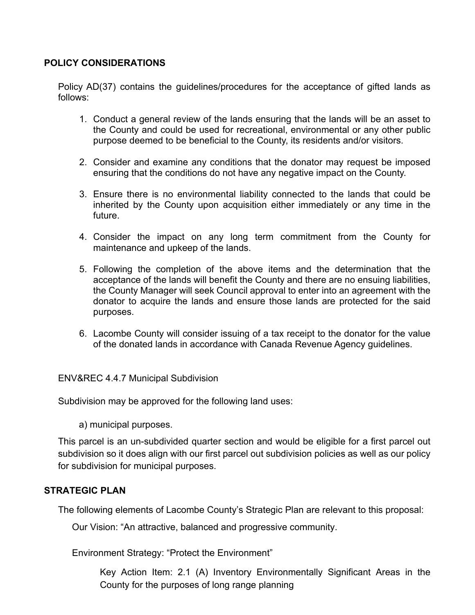#### **POLICY CONSIDERATIONS**

Policy AD(37) contains the guidelines/procedures for the acceptance of gifted lands as follows:

- 1. Conduct a general review of the lands ensuring that the lands will be an asset to the County and could be used for recreational, environmental or any other public purpose deemed to be beneficial to the County, its residents and/or visitors.
- 2. Consider and examine any conditions that the donator may request be imposed ensuring that the conditions do not have any negative impact on the County.
- 3. Ensure there is no environmental liability connected to the lands that could be inherited by the County upon acquisition either immediately or any time in the future.
- 4. Consider the impact on any long term commitment from the County for maintenance and upkeep of the lands.
- 5. Following the completion of the above items and the determination that the acceptance of the lands will benefit the County and there are no ensuing liabilities, the County Manager will seek Council approval to enter into an agreement with the donator to acquire the lands and ensure those lands are protected for the said purposes.
- 6. Lacombe County will consider issuing of a tax receipt to the donator for the value of the donated lands in accordance with Canada Revenue Agency guidelines.

ENV&REC 4.4.7 Municipal Subdivision

Subdivision may be approved for the following land uses:

a) municipal purposes.

This parcel is an un-subdivided quarter section and would be eligible for a first parcel out subdivision so it does align with our first parcel out subdivision policies as well as our policy for subdivision for municipal purposes.

#### **STRATEGIC PLAN**

The following elements of Lacombe County's Strategic Plan are relevant to this proposal:

Our Vision: "An attractive, balanced and progressive community.

Environment Strategy: "Protect the Environment"

Key Action Item: 2.1 (A) Inventory Environmentally Significant Areas in the County for the purposes of long range planning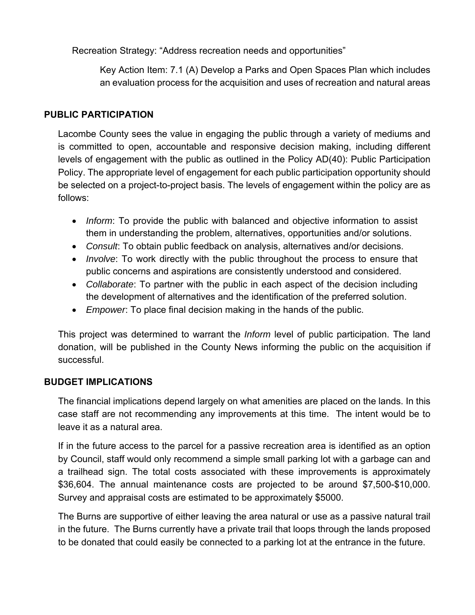Recreation Strategy: "Address recreation needs and opportunities"

Key Action Item: 7.1 (A) Develop a Parks and Open Spaces Plan which includes an evaluation process for the acquisition and uses of recreation and natural areas

### **PUBLIC PARTICIPATION**

Lacombe County sees the value in engaging the public through a variety of mediums and is committed to open, accountable and responsive decision making, including different levels of engagement with the public as outlined in the Policy AD(40): Public Participation Policy. The appropriate level of engagement for each public participation opportunity should be selected on a project-to-project basis. The levels of engagement within the policy are as follows:

- *Inform*: To provide the public with balanced and objective information to assist them in understanding the problem, alternatives, opportunities and/or solutions.
- *Consult*: To obtain public feedback on analysis, alternatives and/or decisions.
- *Involve*: To work directly with the public throughout the process to ensure that public concerns and aspirations are consistently understood and considered.
- *Collaborate*: To partner with the public in each aspect of the decision including the development of alternatives and the identification of the preferred solution.
- *Empower*: To place final decision making in the hands of the public.

This project was determined to warrant the *Inform* level of public participation. The land donation, will be published in the County News informing the public on the acquisition if successful.

#### **BUDGET IMPLICATIONS**

The financial implications depend largely on what amenities are placed on the lands. In this case staff are not recommending any improvements at this time. The intent would be to leave it as a natural area.

If in the future access to the parcel for a passive recreation area is identified as an option by Council, staff would only recommend a simple small parking lot with a garbage can and a trailhead sign. The total costs associated with these improvements is approximately \$36,604. The annual maintenance costs are projected to be around \$7,500-\$10,000. Survey and appraisal costs are estimated to be approximately \$5000.

The Burns are supportive of either leaving the area natural or use as a passive natural trail in the future. The Burns currently have a private trail that loops through the lands proposed to be donated that could easily be connected to a parking lot at the entrance in the future.